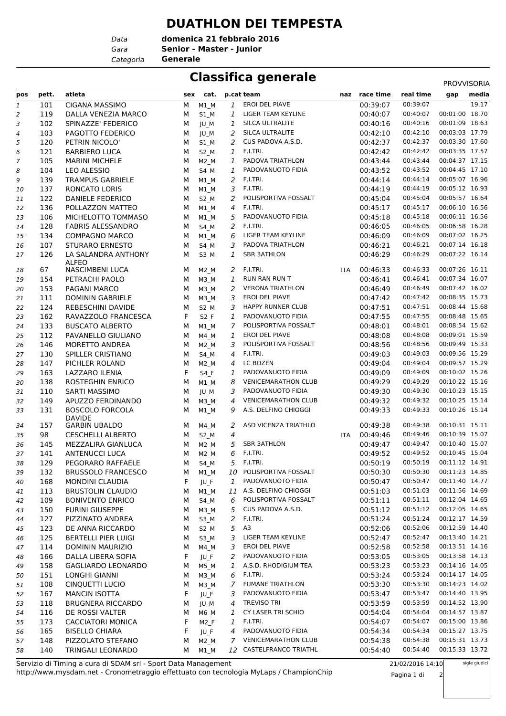## **DUATHLON DEI TEMPESTA**

*Data Categoria* **Generale**

*Gara* **Senior - Master - Junior domenica 21 febbraio 2016**

## **Classifica generale** PROVISOR

|                               |            |                                         |        |                     |        |                                                 |     |               |                      | <b>PROVVISORIA</b> |       |
|-------------------------------|------------|-----------------------------------------|--------|---------------------|--------|-------------------------------------------------|-----|---------------|----------------------|--------------------|-------|
| pos                           | pett.      | atleta                                  |        | sex cat.            |        | p.cat team                                      |     | naz race time | real time            | gap                | media |
| $\ensuremath{\mathnormal{1}}$ | 101        | <b>CIGANA MASSIMO</b>                   | M      | $M1$ <sub>M</sub>   | 1      | EROI DEL PIAVE                                  |     | 00:39:07      | 00:39:07             |                    | 19.17 |
| 2                             | 119        | DALLA VENEZIA MARCO                     | М      | S1 M                | 1      | LIGER TEAM KEYLINE                              |     | 00:40:07      | 00:40:07             | 00:01:00 18.70     |       |
| 3                             | 102        | SPINAZZE' FEDERICO                      | М      | JU_M                | 1      | SILCA ULTRALITE                                 |     | 00:40:16      | 00:40:16             | 00:01:09 18.63     |       |
| $\overline{a}$                | 103        | PAGOTTO FEDERICO                        | M      | JU_M                | 2      | SILCA ULTRALITE                                 |     | 00:42:10      | 00:42:10             | 00:03:03 17.79     |       |
| 5                             | 120        | PETRIN NICOLO'                          | M      | S1 M                | 2      | CUS PADOVA A.S.D.                               |     | 00:42:37      | 00:42:37             | 00:03:30 17.60     |       |
| 6                             | 121        | <b>BARBIERO LUCA</b>                    | М      | S <sub>2</sub> M    | 1      | F.I.TRI.                                        |     | 00:42:42      | 00:42:42             | 00:03:35 17.57     |       |
| 7                             | 105        | <b>MARINI MICHELE</b>                   | М      | $M2$ <sub>_</sub> M | 1      | PADOVA TRIATHLON                                |     | 00:43:44      | 00:43:44             | 00:04:37 17.15     |       |
| 8                             | 104        | <b>LEO ALESSIO</b>                      | М      | $S4$ <sub>-</sub> M | 1      | PADOVANUOTO FIDIA                               |     | 00:43:52      | 00:43:52             | 00:04:45 17.10     |       |
| 9                             | 139        | <b>TRAMPUS GABRIELE</b>                 | М      | M1 M                | 2      | F.I.TRI.                                        |     | 00:44:14      | 00:44:14             | 00:05:07 16.96     |       |
| 10                            | 137        | <b>RONCATO LORIS</b>                    | М      | $M1$ <sub>M</sub>   | 3      | F.I.TRI.                                        |     | 00:44:19      | 00:44:19             | 00:05:12 16.93     |       |
| 11                            | 122        | <b>DANIELE FEDERICO</b>                 | М      | S <sub>2</sub> M    | 2      | POLISPORTIVA FOSSALT                            |     | 00:45:04      | 00:45:04             | 00:05:57 16.64     |       |
| 12                            | 136        | POLLAZZON MATTEO                        | М      | M1 M                | 4      | F.I.TRI.                                        |     | 00:45:17      | 00:45:17             | 00:06:10 16.56     |       |
| 13                            | 106        | MICHELOTTO TOMMASO                      | М      | $M1$ <sub>M</sub>   | 5      | PADOVANUOTO FIDIA                               |     | 00:45:18      | 00:45:18             | 00:06:11 16.56     |       |
| 14                            | 128        | <b>FABRIS ALESSANDRO</b>                | М      | S4 M                | 2      | F.I.TRI.                                        |     | 00:46:05      | 00:46:05             | 00:06:58 16.28     |       |
| 15                            | 134        | <b>COMPAGNO MARCO</b>                   | М      | $M1$ <sub>M</sub>   | 6      | LIGER TEAM KEYLINE                              |     | 00:46:09      | 00:46:09             | 00:07:02 16.25     |       |
| 16                            | 107        | <b>STURARO ERNESTO</b>                  | М      | $S4$ <sub>_</sub> M | 3      | PADOVA TRIATHLON                                |     | 00:46:21      | 00:46:21             | 00:07:14 16.18     |       |
| 17                            | 126        | LA SALANDRA ANTHONY                     | М      | S3 M                | 1      | <b>SBR 3ATHLON</b>                              |     | 00:46:29      | 00:46:29             | 00:07:22 16.14     |       |
|                               | 67         | <b>ALFEO</b><br><b>NASCIMBENI LUCA</b>  |        |                     | 2      | F.I.TRI.                                        |     | 00:46:33      | 00:46:33             | 00:07:26 16.11     |       |
| 18                            |            |                                         | м      | M2 M                |        | <b>RUN RAN RUN T</b>                            | ITA | 00:46:41      | 00:46:41             | 00:07:34 16.07     |       |
| 19                            | 154<br>153 | PETRACHI PAOLO<br>PAGANI MARCO          | М<br>M | $M3$ <sub>_</sub> M | 1<br>2 | <b>VERONA TRIATHLON</b>                         |     | 00:46:49      | 00:46:49             | 00:07:42 16.02     |       |
| 20                            | 111        | <b>DOMININ GABRIELE</b>                 |        | $M3$ <sub>_</sub> M |        | EROI DEL PIAVE                                  |     | 00:47:42      | 00:47:42             | 00:08:35 15.73     |       |
| 21                            | 124        | <b>REBESCHINI DAVIDE</b>                | М      | M3 M                | 3      | HAPPY RUNNER CLUB                               |     | 00:47:51      | 00:47:51             | 00:08:44 15.68     |       |
| 22                            | 162        |                                         | М<br>F | S <sub>2</sub> M    | 3      |                                                 |     | 00:47:55      | 00:47:55             | 00:08:48 15.65     |       |
| 23                            |            | RAVAZZOLO FRANCESCA                     |        | $S2_F$              | 1      | PADOVANUOTO FIDIA<br>POLISPORTIVA FOSSALT       |     |               | 00:48:01             | 00:08:54 15.62     |       |
| 24                            | 133        | <b>BUSCATO ALBERTO</b>                  | M      | M1 M                | 7      | EROI DEL PIAVE                                  |     | 00:48:01      | 00:48:08             | 00:09:01 15.59     |       |
| 25                            | 112        | PAVANELLO GIULIANO                      | М      | M4 M                | 1      |                                                 |     | 00:48:08      |                      | 00:09:49 15.33     |       |
| 26                            | 146        | <b>MORETTO ANDREA</b>                   | M      | $M2$ <sub>_</sub> M | 3      | POLISPORTIVA FOSSALT<br>F.I.TRI.                |     | 00:48:56      | 00:48:56             | 00:09:56 15.29     |       |
| 27                            | 130        | SPILLER CRISTIANO                       | М      | S4 M                | 4      | <b>LC BOZEN</b>                                 |     | 00:49:03      | 00:49:03<br>00:49:04 | 00:09:57 15.29     |       |
| 28                            | 147        | PICHLER ROLAND                          | М      | M <sub>2</sub> M    | 4      |                                                 |     | 00:49:04      |                      | 00:10:02 15.26     |       |
| 29                            | 163        | LAZZARO ILENIA                          | F      | $S4_F$              | 1      | PADOVANUOTO FIDIA<br><b>VENICEMARATHON CLUB</b> |     | 00:49:09      | 00:49:09<br>00:49:29 | 00:10:22 15.16     |       |
| 30                            | 138        | ROSTEGHIN ENRICO                        | M      | M1 M                | 8      | PADOVANUOTO FIDIA                               |     | 00:49:29      | 00:49:30             | 00:10:23 15.15     |       |
| 31                            | 110        | SARTI MASSIMO                           | M      | JU M                | 3      | <b>VENICEMARATHON CLUB</b>                      |     | 00:49:30      | 00:49:32             | 00:10:25 15.14     |       |
| 32                            | 149        | APUZZO FERDINANDO                       | М      | M3 M                | 4      | A.S. DELFINO CHIOGGI                            |     | 00:49:32      | 00:49:33             | 00:10:26 15.14     |       |
| 33                            | 131        | <b>BOSCOLO FORCOLA</b><br><b>DAVIDE</b> | M      | M1 M                | 9      |                                                 |     | 00:49:33      |                      |                    |       |
| 34                            | 157        | <b>GARBIN UBALDO</b>                    | м      | M4 M                | 2      | ASD VICENZA TRIATHLO                            |     | 00:49:38      | 00:49:38             | 00:10:31 15.11     |       |
| 35                            | 98         | <b>CESCHELLI ALBERTO</b>                | м      | $S2_M$              | 4      |                                                 | ITA | 00:49:46      | 00:49:46             | 00:10:39 15.07     |       |
| 36                            | 145        | MEZZALIRA GIANLUCA                      | М      | $M2$ <sub>_</sub> M | 5      | <b>SBR 3ATHLON</b>                              |     | 00:49:47      | 00:49:47             | 00:10:40 15.07     |       |
| 37                            | 141        | <b>ANTENUCCI LUCA</b>                   | М      | $M2$ <sub>_</sub> M | 6      | F.I.TRI.                                        |     | 00:49:52      | 00:49:52             | 00:10:45 15.04     |       |
| 38                            | 129        | PEGORARO RAFFAELE                       | М      | $S4_M$              |        | 5 F.I.TRI.                                      |     | 00:50:19      | 00:50:19             | 00:11:12 14.91     |       |
| 39                            | 132        | <b>BRUSSOLO FRANCESCO</b>               | м      | M1 M                |        | 10 POLISPORTIVA FOSSALT                         |     | 00:50:30      | 00:50:30             | 00:11:23 14.85     |       |
| 40                            | 168        | <b>MONDINI CLAUDIA</b>                  | F      | JU_F                | 1      | PADOVANUOTO FIDIA                               |     | 00:50:47      | 00:50:47             | 00:11:40 14.77     |       |
| 41                            | 113        | <b>BRUSTOLIN CLAUDIO</b>                | М      | M1 M                |        | 11 A.S. DELFINO CHIOGGI                         |     | 00:51:03      | 00:51:03             | 00:11:56 14.69     |       |
| 42                            | 109        | <b>BONIVENTO ENRICO</b>                 | М      | $S4$ <sub>_</sub> M | 6      | POLISPORTIVA FOSSALT                            |     | 00:51:11      | 00:51:11             | 00:12:04 14.65     |       |
| 43                            | 150        | <b>FURINI GIUSEPPE</b>                  | М      | M3_M                | 5      | CUS PADOVA A.S.D.                               |     | 00:51:12      | 00:51:12             | 00:12:05 14.65     |       |
| 44                            | 127        | PIZZINATO ANDREA                        | М      | $S3$ <sup>M</sup>   | 2      | F.I.TRI.                                        |     | 00:51:24      | 00:51:24             | 00:12:17 14.59     |       |
| 45                            | 123        | DE ANNA RICCARDO                        | м      | S <sub>2</sub> M    | 5      | A <sub>3</sub>                                  |     | 00:52:06      | 00:52:06             | 00:12:59 14.40     |       |
| 46                            | 125        | <b>BERTELLI PIER LUIGI</b>              | м      | S3_M                | 3      | LIGER TEAM KEYLINE                              |     | 00:52:47      | 00:52:47             | 00:13:40 14.21     |       |
| 47                            | 114        | DOMININ MAURIZIO                        | М      | $M4$ <sub>_</sub> M | 3      | EROI DEL PIAVE                                  |     | 00:52:58      | 00:52:58             | 00:13:51 14.16     |       |
| 48                            | 166        | DALLA LIBERA SOFIA                      | F      | JU_F                | 2      | PADOVANUOTO FIDIA                               |     | 00:53:05      | 00:53:05             | 00:13:58 14.13     |       |
| 49                            | 158        | <b>GAGLIARDO LEONARDO</b>               | М      | M5 M                | 1      | A.S.D. RHODIGIUM TEA                            |     | 00:53:23      | 00:53:23             | 00:14:16 14.05     |       |
| 50                            | 151        | LONGHI GIANNI                           | м      | M3_M                | 6      | F.I.TRI.                                        |     | 00:53:24      | 00:53:24             | 00:14:17 14.05     |       |
| 51                            | 108        | CINQUETTI LUCIO                         | М      | M3_M                | 7      | <b>FUMANE TRIATHLON</b>                         |     | 00:53:30      | 00:53:30             | 00:14:23 14.02     |       |
| 52                            | 167        | <b>MANCIN ISOTTA</b>                    | F.     | JU_F                | 3      | PADOVANUOTO FIDIA                               |     | 00:53:47      | 00:53:47             | 00:14:40 13.95     |       |
| 53                            | 118        | <b>BRUGNERA RICCARDO</b>                | М      | JU_M                | 4      | <b>TREVISO TRI</b>                              |     | 00:53:59      | 00:53:59             | 00:14:52 13.90     |       |
| 54                            | 116        | DE ROSSI VALTER                         | М      | $M6$ _M             | 1      | CY LASER TRI SCHIO                              |     | 00:54:04      | 00:54:04             | 00:14:57 13.87     |       |
| 55                            | 173        | <b>CACCIATORI MONICA</b>                | F      | M <sub>2</sub> F    | 1      | F.I.TRI.                                        |     | 00:54:07      | 00:54:07             | 00:15:00 13.86     |       |
| 56                            | 165        | <b>BISELLO CHIARA</b>                   | F      | JU_F                | 4      | PADOVANUOTO FIDIA                               |     | 00:54:34      | 00:54:34             | 00:15:27 13.75     |       |
| 57                            | 148        | PIZZOLATO STEFANO                       | м      | $M2$ <sub>_</sub> M |        | 7 VENICEMARATHON CLUB                           |     | 00:54:38      | 00:54:38             | 00:15:31 13.73     |       |
| 58                            | 140        | TRINGALI LEONARDO                       | М      | M1 M                |        | 12 CASTELFRANCO TRIATHL                         |     | 00:54:40      | 00:54:40             | 00:15:33 13.72     |       |

http://www.mysdam.net - Cronometraggio effettuato con tecnologia MyLaps / ChampionChip Servizio di Timing a cura di SDAM srl - Sport Data Management

21/02/2016 14:10 Pagina 1 di 2

sigle giudici